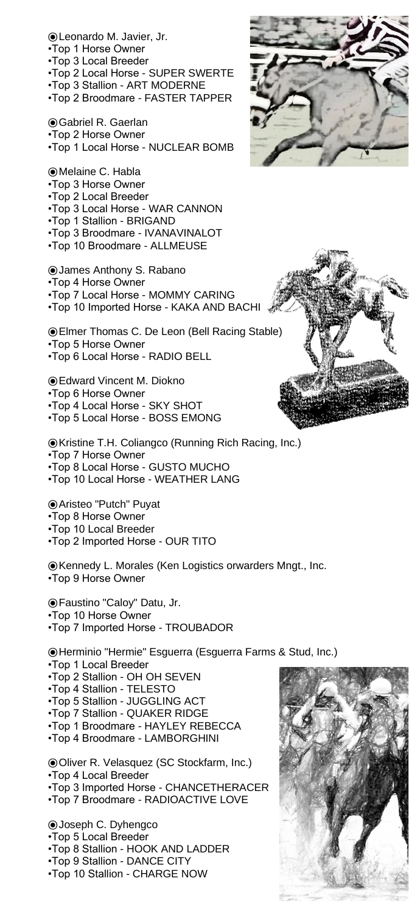⦿Leonardo M. Javier, Jr. •Top 1 Horse Owner •Top 3 Local Breeder •Top 2 Local Horse - SUPER SWERTE •Top 3 Stallion - ART MODERNE

•Top 2 Broodmare - FASTER TAPPER

⦿Gabriel R. Gaerlan •Top 2 Horse Owner •Top 1 Local Horse - NUCLEAR BOMB

⦿James Anthony S. Rabano •Top 4 Horse Owner •Top 7 Local Horse - MOMMY CARING •Top 10 Imported Horse - KAKA AND BACHI

⦿Melaine C. Habla •Top 3 Horse Owner •Top 2 Local Breeder •Top 3 Local Horse - WAR CANNON •Top 1 Stallion - BRIGAND •Top 3 Broodmare - IVANAVINALOT •Top 10 Broodmare - ALLMEUSE

⦿Elmer Thomas C. De Leon (Bell Racing Stable) •Top 5 Horse Owner •Top 6 Local Horse - RADIO BELL

⦿Edward Vincent M. Diokno •Top 6 Horse Owner •Top 4 Local Horse - SKY SHOT •Top 5 Local Horse - BOSS EMONG

⦿Kristine T.H. Coliangco (Running Rich Racing, Inc.) •Top 7 Horse Owner •Top 8 Local Horse - GUSTO MUCHO •Top 10 Local Horse - WEATHER LANG

⦿Aristeo "Putch" Puyat •Top 8 Horse Owner •Top 10 Local Breeder •Top 2 Imported Horse - OUR TITO

⦿Kennedy L. Morales (Ken Logistics orwarders Mngt., Inc. •Top 9 Horse Owner







⦿Faustino "Caloy" Datu, Jr.

•Top 10 Horse Owner

•Top 7 Imported Horse - TROUBADOR

⦿Herminio "Hermie" Esguerra (Esguerra Farms & Stud, Inc.)

•Top 1 Local Breeder •Top 2 Stallion - OH OH SEVEN •Top 4 Stallion - TELESTO •Top 5 Stallion - JUGGLING ACT •Top 7 Stallion - QUAKER RIDGE •Top 1 Broodmare - HAYLEY REBECCA •Top 4 Broodmare - LAMBORGHINI

⦿Oliver R. Velasquez (SC Stockfarm, Inc.)

- •Top 4 Local Breeder
- •Top 3 Imported Horse CHANCETHERACER
- •Top 7 Broodmare RADIOACTIVE LOVE

⦿Joseph C. Dyhengco •Top 5 Local Breeder •Top 8 Stallion - HOOK AND LADDER •Top 9 Stallion - DANCE CITY •Top 10 Stallion - CHARGE NOW